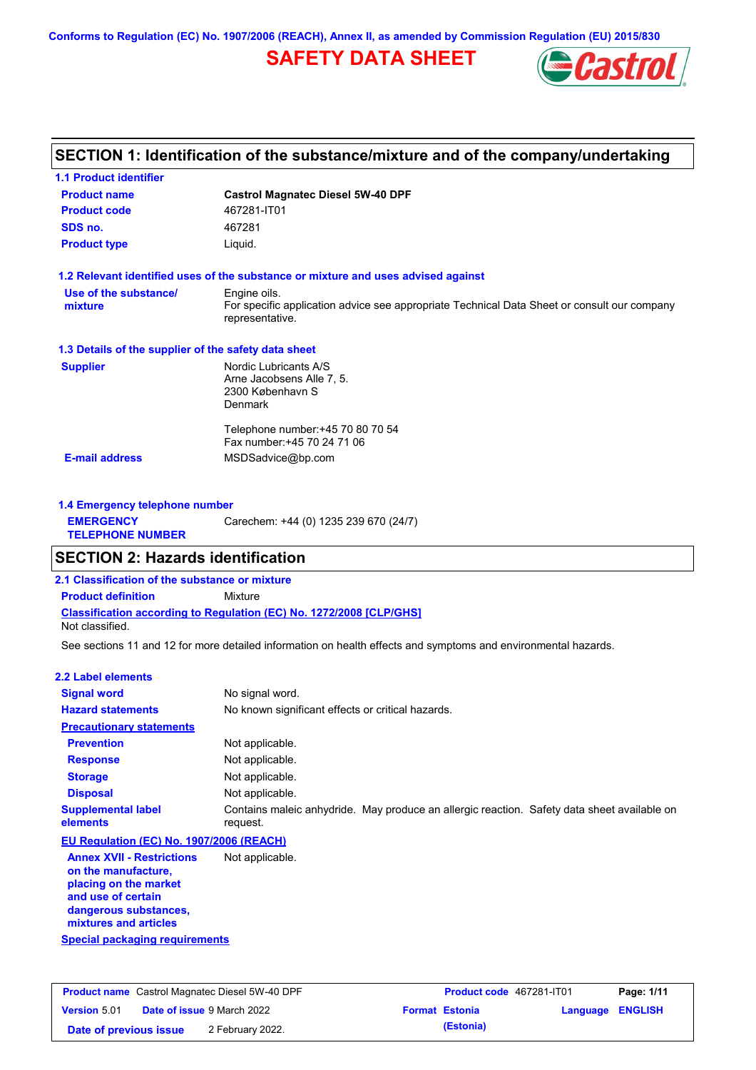**Conforms to Regulation (EC) No. 1907/2006 (REACH), Annex II, as amended by Commission Regulation (EU) 2015/830**

## **SAFETY DATA SHEET**



## **SECTION 1: Identification of the substance/mixture and of the company/undertaking**

| <b>Product name</b>                                  | <b>Castrol Magnatec Diesel 5W-40 DPF</b>                                                                       |  |  |
|------------------------------------------------------|----------------------------------------------------------------------------------------------------------------|--|--|
| <b>Product code</b>                                  | 467281-IT01                                                                                                    |  |  |
| SDS no.                                              | 467281                                                                                                         |  |  |
| <b>Product type</b>                                  | Liquid.                                                                                                        |  |  |
|                                                      | 1.2 Relevant identified uses of the substance or mixture and uses advised against                              |  |  |
| Use of the substance/                                | Engine oils.                                                                                                   |  |  |
| mixture                                              | For specific application advice see appropriate Technical Data Sheet or consult our company<br>representative. |  |  |
| 1.3 Details of the supplier of the safety data sheet |                                                                                                                |  |  |
| <b>Supplier</b>                                      | Nordic Lubricants A/S                                                                                          |  |  |
|                                                      | Arne Jacobsens Alle 7, 5.                                                                                      |  |  |
|                                                      | 2300 København S<br><b>Denmark</b>                                                                             |  |  |
|                                                      |                                                                                                                |  |  |
|                                                      | Telephone number: +45 70 80 70 54                                                                              |  |  |
|                                                      | Fax number: +45 70 24 71 06                                                                                    |  |  |
| <b>E-mail address</b>                                | MSDSadvice@bp.com                                                                                              |  |  |

| 1.4 Emergency telephone number              |                                       |
|---------------------------------------------|---------------------------------------|
| <b>EMERGENCY</b><br><b>TELEPHONE NUMBER</b> | Carechem: +44 (0) 1235 239 670 (24/7) |

## **SECTION 2: Hazards identification**

**2.1 Classification of the substance or mixture**

**Classification according to Regulation (EC) No. 1272/2008 [CLP/GHS] Product definition** Mixture

Not classified.

See sections 11 and 12 for more detailed information on health effects and symptoms and environmental hazards.

### **2.2 Label elements**

| --- ------ ---------                                    |                                                                                                         |
|---------------------------------------------------------|---------------------------------------------------------------------------------------------------------|
| <b>Signal word</b>                                      | No signal word.                                                                                         |
| <b>Hazard statements</b>                                | No known significant effects or critical hazards.                                                       |
| <b>Precautionary statements</b>                         |                                                                                                         |
| <b>Prevention</b>                                       | Not applicable.                                                                                         |
| <b>Response</b>                                         | Not applicable.                                                                                         |
| <b>Storage</b>                                          | Not applicable.                                                                                         |
| <b>Disposal</b>                                         | Not applicable.                                                                                         |
| <b>Supplemental label</b><br>elements                   | Contains maleic anhydride. May produce an allergic reaction. Safety data sheet available on<br>request. |
| EU Regulation (EC) No. 1907/2006 (REACH)                |                                                                                                         |
| <b>Annex XVII - Restrictions</b><br>on the manufacture. | Not applicable.                                                                                         |

**Special packaging requirements placing on the market and use of certain dangerous substances, mixtures and articles**

| <b>Product name</b> Castrol Magnatec Diesel 5W-40 DPF |                                   | Product code 467281-IT01 |                  | Page: 1/11 |
|-------------------------------------------------------|-----------------------------------|--------------------------|------------------|------------|
| <b>Version 5.01</b>                                   | <b>Date of issue 9 March 2022</b> | <b>Format Estonia</b>    | Language ENGLISH |            |
| Date of previous issue                                | 2 February 2022.                  | (Estonia)                |                  |            |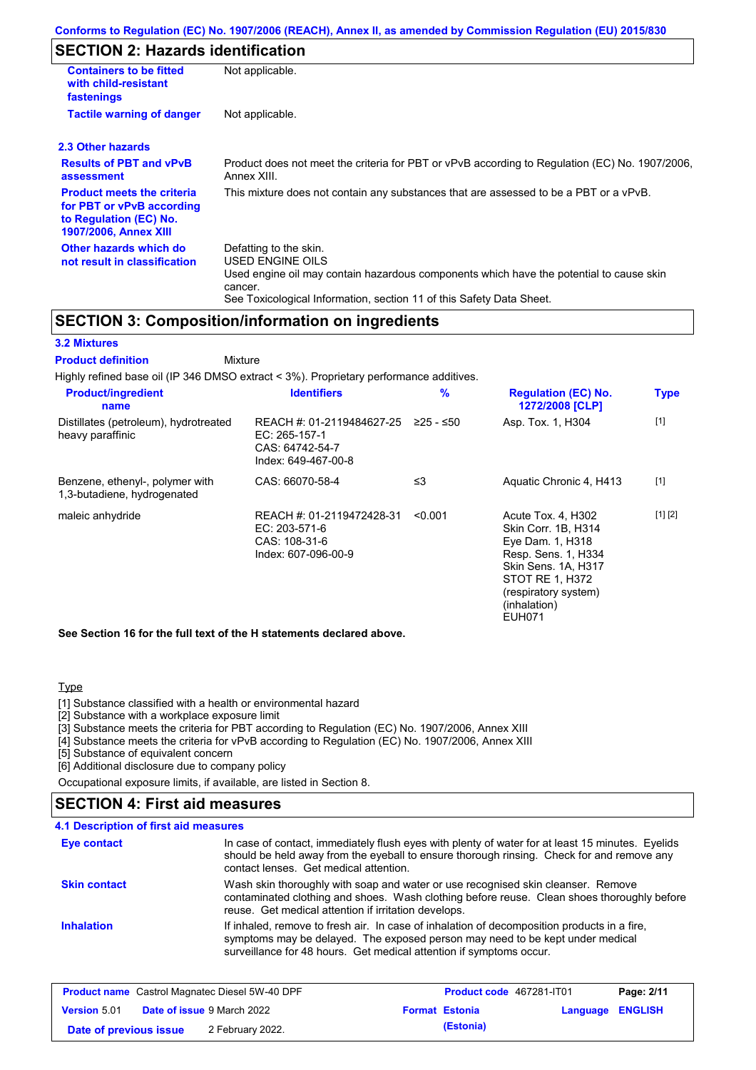## **SECTION 2: Hazards identification**

| <b>Containers to be fitted</b><br>with child-resistant<br>fastenings                                                     | Not applicable.                                                                                                                                                                                                          |
|--------------------------------------------------------------------------------------------------------------------------|--------------------------------------------------------------------------------------------------------------------------------------------------------------------------------------------------------------------------|
| <b>Tactile warning of danger</b>                                                                                         | Not applicable.                                                                                                                                                                                                          |
| 2.3 Other hazards                                                                                                        |                                                                                                                                                                                                                          |
| <b>Results of PBT and vPvB</b><br>assessment                                                                             | Product does not meet the criteria for PBT or vPvB according to Regulation (EC) No. 1907/2006,<br>Annex XIII.                                                                                                            |
| <b>Product meets the criteria</b><br>for PBT or vPvB according<br>to Regulation (EC) No.<br><b>1907/2006, Annex XIII</b> | This mixture does not contain any substances that are assessed to be a PBT or a vPvB.                                                                                                                                    |
| Other hazards which do<br>not result in classification                                                                   | Defatting to the skin.<br>USED ENGINE OILS<br>Used engine oil may contain hazardous components which have the potential to cause skin<br>cancer.<br>See Toxicological Information, section 11 of this Safety Data Sheet. |

## **SECTION 3: Composition/information on ingredients**

### **3.2 Mixtures**

Mixture **Product definition**

| Highly refined base oil (IP 346 DMSO extract < 3%). Proprietary performance additives. |                                                                                      |             |                                                                                                                                                                                         |             |
|----------------------------------------------------------------------------------------|--------------------------------------------------------------------------------------|-------------|-----------------------------------------------------------------------------------------------------------------------------------------------------------------------------------------|-------------|
| <b>Product/ingredient</b><br>name                                                      | <b>Identifiers</b>                                                                   | $\%$        | <b>Regulation (EC) No.</b><br>1272/2008 [CLP]                                                                                                                                           | <b>Type</b> |
| Distillates (petroleum), hydrotreated<br>heavy paraffinic                              | REACH #: 01-2119484627-25<br>EC: 265-157-1<br>CAS: 64742-54-7<br>Index: 649-467-00-8 | $≥25 - ≤50$ | Asp. Tox. 1, H304                                                                                                                                                                       | $[1]$       |
| Benzene, ethenyl-, polymer with<br>1,3-butadiene, hydrogenated                         | CAS: 66070-58-4                                                                      | $\leq$ 3    | Aquatic Chronic 4, H413                                                                                                                                                                 | $[1]$       |
| maleic anhydride                                                                       | REACH #: 01-2119472428-31<br>$EC: 203-571-6$<br>CAS: 108-31-6<br>Index: 607-096-00-9 | < 0.001     | Acute Tox. 4, H302<br>Skin Corr. 1B, H314<br>Eye Dam. 1, H318<br>Resp. Sens. 1, H334<br>Skin Sens. 1A, H317<br>STOT RE 1, H372<br>(respiratory system)<br>(inhalation)<br><b>EUH071</b> | [1] [2]     |

**See Section 16 for the full text of the H statements declared above.**

#### **Type**

[1] Substance classified with a health or environmental hazard

[2] Substance with a workplace exposure limit

[3] Substance meets the criteria for PBT according to Regulation (EC) No. 1907/2006, Annex XIII

[4] Substance meets the criteria for vPvB according to Regulation (EC) No. 1907/2006, Annex XIII

[5] Substance of equivalent concern

[6] Additional disclosure due to company policy

Occupational exposure limits, if available, are listed in Section 8.

### **4.1 Description of first aid measures SECTION 4: First aid measures**

| <b>Eye contact</b>  | In case of contact, immediately flush eyes with plenty of water for at least 15 minutes. Eyelids<br>should be held away from the eyeball to ensure thorough rinsing. Check for and remove any<br>contact lenses. Get medical attention.             |
|---------------------|-----------------------------------------------------------------------------------------------------------------------------------------------------------------------------------------------------------------------------------------------------|
| <b>Skin contact</b> | Wash skin thoroughly with soap and water or use recognised skin cleanser. Remove<br>contaminated clothing and shoes. Wash clothing before reuse. Clean shoes thoroughly before<br>reuse. Get medical attention if irritation develops.              |
| <b>Inhalation</b>   | If inhaled, remove to fresh air. In case of inhalation of decomposition products in a fire,<br>symptoms may be delayed. The exposed person may need to be kept under medical<br>surveillance for 48 hours. Get medical attention if symptoms occur. |

|                        | <b>Product name</b> Castrol Magnatec Diesel 5W-40 DPF | <b>Product code</b> 467281-IT01 |                  | Page: 2/11 |
|------------------------|-------------------------------------------------------|---------------------------------|------------------|------------|
| <b>Version 5.01</b>    | <b>Date of issue</b> 9 March 2022                     | <b>Format Estonia</b>           | Language ENGLISH |            |
| Date of previous issue | 2 February 2022.                                      | (Estonia)                       |                  |            |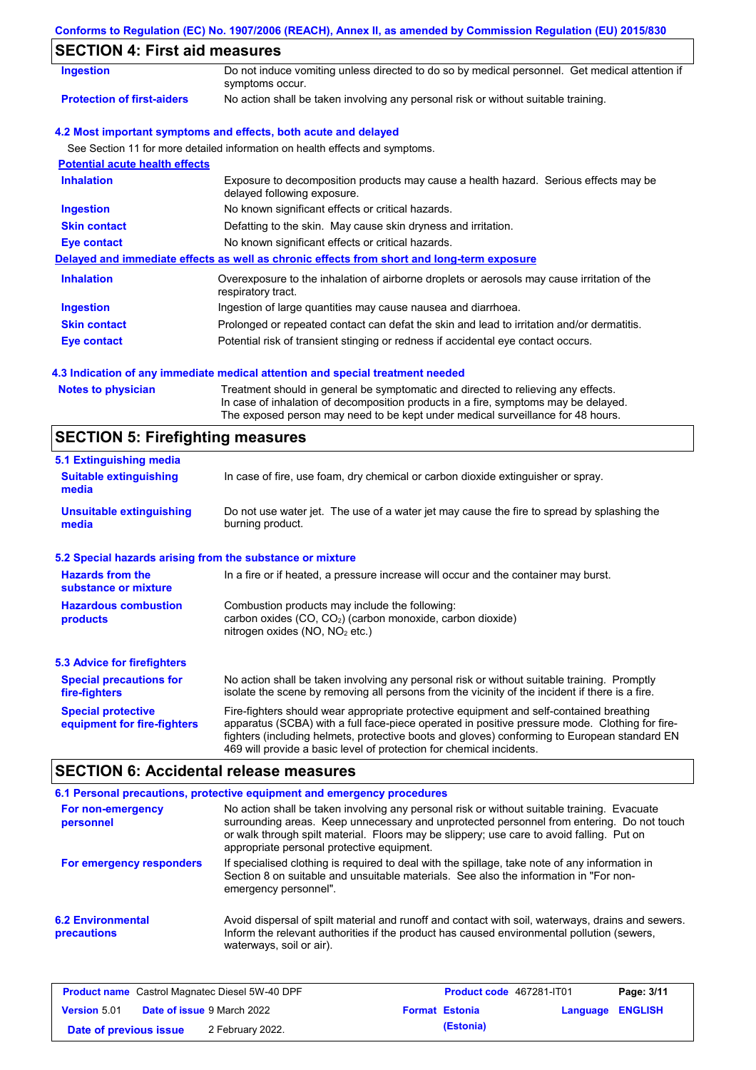### **Conforms to Regulation (EC) No. 1907/2006 (REACH), Annex II, as amended by Commission Regulation (EU) 2015/830**

## **SECTION 4: First aid measures**

| <b>Ingestion</b>                      | Do not induce vomiting unless directed to do so by medical personnel. Get medical attention if<br>symptoms occur.   |
|---------------------------------------|---------------------------------------------------------------------------------------------------------------------|
| <b>Protection of first-aiders</b>     | No action shall be taken involving any personal risk or without suitable training.                                  |
|                                       | 4.2 Most important symptoms and effects, both acute and delayed                                                     |
|                                       | See Section 11 for more detailed information on health effects and symptoms.                                        |
| <b>Potential acute health effects</b> |                                                                                                                     |
| <b>Inhalation</b>                     | Exposure to decomposition products may cause a health hazard. Serious effects may be<br>delayed following exposure. |
| <b>Ingestion</b>                      | No known significant effects or critical hazards.                                                                   |
| <b>Skin contact</b>                   | Defatting to the skin. May cause skin dryness and irritation.                                                       |
| Eye contact                           | No known significant effects or critical hazards.                                                                   |
|                                       | Delayed and immediate effects as well as chronic effects from short and long-term exposure                          |
| <b>Inhalation</b>                     | Overexposure to the inhalation of airborne droplets or aerosols may cause irritation of the<br>respiratory tract.   |
| <b>Ingestion</b>                      | Ingestion of large quantities may cause nausea and diarrhoea.                                                       |
| <b>Skin contact</b>                   | Prolonged or repeated contact can defat the skin and lead to irritation and/or dermatitis.                          |
| Eye contact                           | Potential risk of transient stinging or redness if accidental eye contact occurs.                                   |
|                                       |                                                                                                                     |

### **4.3 Indication of any immediate medical attention and special treatment needed**

| In case of inhalation of decomposition products in a fire, symptoms may be delayed. |  |
|-------------------------------------------------------------------------------------|--|
|                                                                                     |  |
| The exposed person may need to be kept under medical surveillance for 48 hours.     |  |

# **SECTION 5: Firefighting measures**

| 5.1 Extinguishing media                                                                                                                                                                                                                                                                                                                                                                                                       |                                                                                                                                                                                                |  |  |
|-------------------------------------------------------------------------------------------------------------------------------------------------------------------------------------------------------------------------------------------------------------------------------------------------------------------------------------------------------------------------------------------------------------------------------|------------------------------------------------------------------------------------------------------------------------------------------------------------------------------------------------|--|--|
| <b>Suitable extinguishing</b><br>media                                                                                                                                                                                                                                                                                                                                                                                        | In case of fire, use foam, dry chemical or carbon dioxide extinguisher or spray.                                                                                                               |  |  |
| <b>Unsuitable extinguishing</b><br>media                                                                                                                                                                                                                                                                                                                                                                                      | Do not use water jet. The use of a water jet may cause the fire to spread by splashing the<br>burning product.                                                                                 |  |  |
| 5.2 Special hazards arising from the substance or mixture                                                                                                                                                                                                                                                                                                                                                                     |                                                                                                                                                                                                |  |  |
| <b>Hazards from the</b><br>substance or mixture                                                                                                                                                                                                                                                                                                                                                                               | In a fire or if heated, a pressure increase will occur and the container may burst.                                                                                                            |  |  |
| <b>Hazardous combustion</b><br>Combustion products may include the following:<br>carbon oxides $(CO, CO2)$ (carbon monoxide, carbon dioxide)<br>products<br>nitrogen oxides ( $NO$ , $NO2$ etc.)                                                                                                                                                                                                                              |                                                                                                                                                                                                |  |  |
| <b>5.3 Advice for firefighters</b>                                                                                                                                                                                                                                                                                                                                                                                            |                                                                                                                                                                                                |  |  |
| <b>Special precautions for</b><br>fire-fighters                                                                                                                                                                                                                                                                                                                                                                               | No action shall be taken involving any personal risk or without suitable training. Promptly<br>isolate the scene by removing all persons from the vicinity of the incident if there is a fire. |  |  |
| Fire-fighters should wear appropriate protective equipment and self-contained breathing<br><b>Special protective</b><br>apparatus (SCBA) with a full face-piece operated in positive pressure mode. Clothing for fire-<br>equipment for fire-fighters<br>fighters (including helmets, protective boots and gloves) conforming to European standard EN<br>469 will provide a basic level of protection for chemical incidents. |                                                                                                                                                                                                |  |  |

## **SECTION 6: Accidental release measures**

|                                         | 6.1 Personal precautions, protective equipment and emergency procedures                                                                                                                                                                                                                                                             |
|-----------------------------------------|-------------------------------------------------------------------------------------------------------------------------------------------------------------------------------------------------------------------------------------------------------------------------------------------------------------------------------------|
| For non-emergency<br>personnel          | No action shall be taken involving any personal risk or without suitable training. Evacuate<br>surrounding areas. Keep unnecessary and unprotected personnel from entering. Do not touch<br>or walk through spilt material. Floors may be slippery; use care to avoid falling. Put on<br>appropriate personal protective equipment. |
| For emergency responders                | If specialised clothing is required to deal with the spillage, take note of any information in<br>Section 8 on suitable and unsuitable materials. See also the information in "For non-<br>emergency personnel".                                                                                                                    |
| <b>6.2 Environmental</b><br>precautions | Avoid dispersal of spilt material and runoff and contact with soil, waterways, drains and sewers.<br>Inform the relevant authorities if the product has caused environmental pollution (sewers,<br>waterways, soil or air).                                                                                                         |

|                        | <b>Product name</b> Castrol Magnatec Diesel 5W-40 DPF | <b>Product code</b> 467281-IT01 |                         | Page: 3/11 |
|------------------------|-------------------------------------------------------|---------------------------------|-------------------------|------------|
| <b>Version 5.01</b>    | <b>Date of issue 9 March 2022</b>                     | <b>Format Estonia</b>           | <b>Language ENGLISH</b> |            |
| Date of previous issue | 2 February 2022.                                      | (Estonia)                       |                         |            |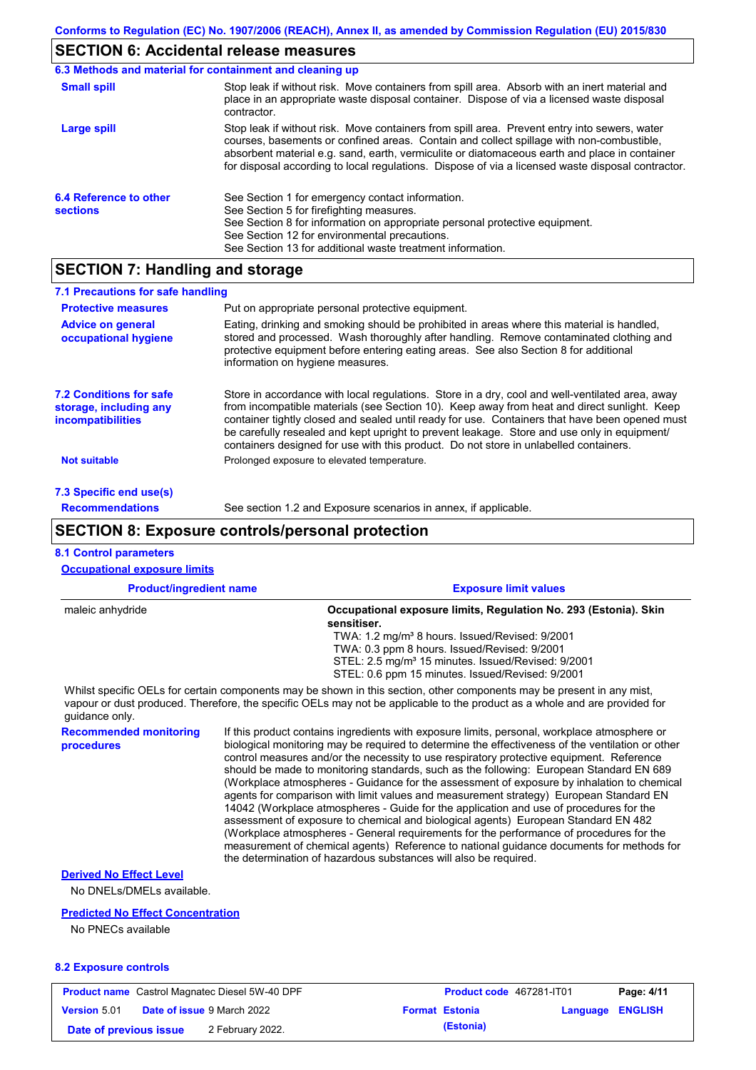### **SECTION 6: Accidental release measures**

|                                           | 6.3 Methods and material for containment and cleaning up                                                                                                                                                                                                                                                                                                                                       |
|-------------------------------------------|------------------------------------------------------------------------------------------------------------------------------------------------------------------------------------------------------------------------------------------------------------------------------------------------------------------------------------------------------------------------------------------------|
| <b>Small spill</b>                        | Stop leak if without risk. Move containers from spill area. Absorb with an inert material and<br>place in an appropriate waste disposal container. Dispose of via a licensed waste disposal<br>contractor.                                                                                                                                                                                     |
| Large spill                               | Stop leak if without risk. Move containers from spill area. Prevent entry into sewers, water<br>courses, basements or confined areas. Contain and collect spillage with non-combustible,<br>absorbent material e.g. sand, earth, vermiculite or diatomaceous earth and place in container<br>for disposal according to local regulations. Dispose of via a licensed waste disposal contractor. |
| 6.4 Reference to other<br><b>sections</b> | See Section 1 for emergency contact information.<br>See Section 5 for firefighting measures.<br>See Section 8 for information on appropriate personal protective equipment.<br>See Section 12 for environmental precautions.<br>See Section 13 for additional waste treatment information.                                                                                                     |

## **SECTION 7: Handling and storage**

| 7.1 Precautions for safe handling                                             |                                                                                                                                                                                                                                                                                                                                                                                                                                                                                          |
|-------------------------------------------------------------------------------|------------------------------------------------------------------------------------------------------------------------------------------------------------------------------------------------------------------------------------------------------------------------------------------------------------------------------------------------------------------------------------------------------------------------------------------------------------------------------------------|
| <b>Protective measures</b>                                                    | Put on appropriate personal protective equipment.                                                                                                                                                                                                                                                                                                                                                                                                                                        |
| <b>Advice on general</b><br>occupational hygiene                              | Eating, drinking and smoking should be prohibited in areas where this material is handled,<br>stored and processed. Wash thoroughly after handling. Remove contaminated clothing and<br>protective equipment before entering eating areas. See also Section 8 for additional<br>information on hygiene measures.                                                                                                                                                                         |
| <b>7.2 Conditions for safe</b><br>storage, including any<br>incompatibilities | Store in accordance with local regulations. Store in a dry, cool and well-ventilated area, away<br>from incompatible materials (see Section 10). Keep away from heat and direct sunlight. Keep<br>container tightly closed and sealed until ready for use. Containers that have been opened must<br>be carefully resealed and kept upright to prevent leakage. Store and use only in equipment/<br>containers designed for use with this product. Do not store in unlabelled containers. |
| <b>Not suitable</b>                                                           | Prolonged exposure to elevated temperature.                                                                                                                                                                                                                                                                                                                                                                                                                                              |
| 7.3 Specific end use(s)                                                       |                                                                                                                                                                                                                                                                                                                                                                                                                                                                                          |
| <b>Recommendations</b>                                                        | See section 1.2 and Exposure scenarios in annex, if applicable.                                                                                                                                                                                                                                                                                                                                                                                                                          |

### **SECTION 8: Exposure controls/personal protection**

## **8.1 Control parameters**

**Occupational exposure limits**

| <b>Product/ingredient name</b> | <b>Exposure limit values</b>                                                                                                                                                                                                                         |
|--------------------------------|------------------------------------------------------------------------------------------------------------------------------------------------------------------------------------------------------------------------------------------------------|
| maleic anhydride               | Occupational exposure limits, Regulation No. 293 (Estonia). Skin<br>sensitiser.                                                                                                                                                                      |
|                                | TWA: 1.2 mg/m <sup>3</sup> 8 hours. Issued/Revised: 9/2001                                                                                                                                                                                           |
|                                | TWA: 0.3 ppm 8 hours. Issued/Revised: 9/2001                                                                                                                                                                                                         |
|                                | STEL: 2.5 mg/m <sup>3</sup> 15 minutes. Issued/Revised: 9/2001                                                                                                                                                                                       |
|                                | STEL: 0.6 ppm 15 minutes. Issued/Revised: 9/2001                                                                                                                                                                                                     |
| quidance only.                 | Whilst specific OELs for certain components may be shown in this section, other components may be present in any mist,<br>vapour or dust produced. Therefore, the specific OELs may not be applicable to the product as a whole and are provided for |

**Recommended monitoring procedures**

If this product contains ingredients with exposure limits, personal, workplace atmosphere or biological monitoring may be required to determine the effectiveness of the ventilation or other control measures and/or the necessity to use respiratory protective equipment. Reference should be made to monitoring standards, such as the following: European Standard EN 689 (Workplace atmospheres - Guidance for the assessment of exposure by inhalation to chemical agents for comparison with limit values and measurement strategy) European Standard EN 14042 (Workplace atmospheres - Guide for the application and use of procedures for the assessment of exposure to chemical and biological agents) European Standard EN 482 (Workplace atmospheres - General requirements for the performance of procedures for the measurement of chemical agents) Reference to national guidance documents for methods for the determination of hazardous substances will also be required.

### **Derived No Effect Level**

No DNELs/DMELs available.

#### **Predicted No Effect Concentration**

No PNECs available

### **8.2 Exposure controls**

|                        | <b>Product name</b> Castrol Magnatec Diesel 5W-40 DPF | <b>Product code</b> 467281-IT01 |                         | Page: 4/11 |
|------------------------|-------------------------------------------------------|---------------------------------|-------------------------|------------|
| <b>Version 5.01</b>    | <b>Date of issue 9 March 2022</b>                     | <b>Format Estonia</b>           | <b>Language ENGLISH</b> |            |
| Date of previous issue | 2 February 2022.                                      | (Estonia)                       |                         |            |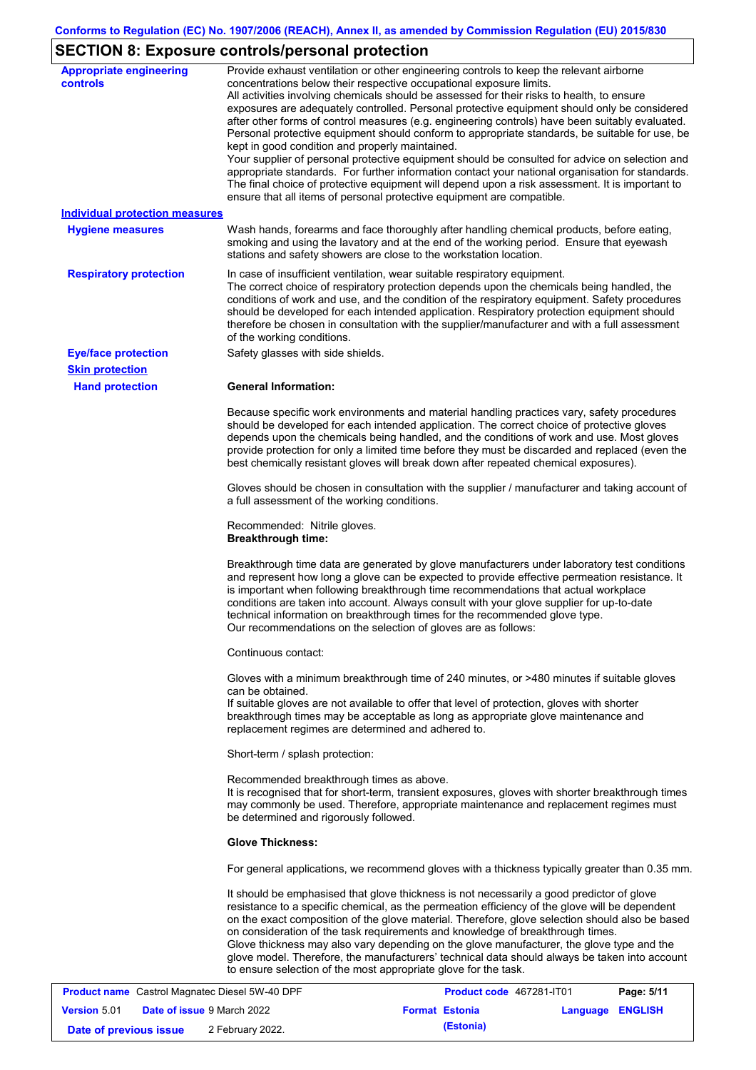# **SECTION 8: Exposure controls/personal protection**

| <b>Appropriate engineering</b><br><b>controls</b> | Provide exhaust ventilation or other engineering controls to keep the relevant airborne<br>concentrations below their respective occupational exposure limits.<br>All activities involving chemicals should be assessed for their risks to health, to ensure<br>exposures are adequately controlled. Personal protective equipment should only be considered<br>after other forms of control measures (e.g. engineering controls) have been suitably evaluated.<br>Personal protective equipment should conform to appropriate standards, be suitable for use, be<br>kept in good condition and properly maintained.<br>Your supplier of personal protective equipment should be consulted for advice on selection and<br>appropriate standards. For further information contact your national organisation for standards.<br>The final choice of protective equipment will depend upon a risk assessment. It is important to<br>ensure that all items of personal protective equipment are compatible. |
|---------------------------------------------------|---------------------------------------------------------------------------------------------------------------------------------------------------------------------------------------------------------------------------------------------------------------------------------------------------------------------------------------------------------------------------------------------------------------------------------------------------------------------------------------------------------------------------------------------------------------------------------------------------------------------------------------------------------------------------------------------------------------------------------------------------------------------------------------------------------------------------------------------------------------------------------------------------------------------------------------------------------------------------------------------------------|
| <b>Individual protection measures</b>             |                                                                                                                                                                                                                                                                                                                                                                                                                                                                                                                                                                                                                                                                                                                                                                                                                                                                                                                                                                                                         |
| <b>Hygiene measures</b>                           | Wash hands, forearms and face thoroughly after handling chemical products, before eating,<br>smoking and using the lavatory and at the end of the working period. Ensure that eyewash<br>stations and safety showers are close to the workstation location.                                                                                                                                                                                                                                                                                                                                                                                                                                                                                                                                                                                                                                                                                                                                             |
| <b>Respiratory protection</b>                     | In case of insufficient ventilation, wear suitable respiratory equipment.<br>The correct choice of respiratory protection depends upon the chemicals being handled, the<br>conditions of work and use, and the condition of the respiratory equipment. Safety procedures<br>should be developed for each intended application. Respiratory protection equipment should<br>therefore be chosen in consultation with the supplier/manufacturer and with a full assessment<br>of the working conditions.                                                                                                                                                                                                                                                                                                                                                                                                                                                                                                   |
| <b>Eye/face protection</b>                        | Safety glasses with side shields.                                                                                                                                                                                                                                                                                                                                                                                                                                                                                                                                                                                                                                                                                                                                                                                                                                                                                                                                                                       |
| <b>Skin protection</b>                            |                                                                                                                                                                                                                                                                                                                                                                                                                                                                                                                                                                                                                                                                                                                                                                                                                                                                                                                                                                                                         |
| <b>Hand protection</b>                            | <b>General Information:</b>                                                                                                                                                                                                                                                                                                                                                                                                                                                                                                                                                                                                                                                                                                                                                                                                                                                                                                                                                                             |
|                                                   | Because specific work environments and material handling practices vary, safety procedures<br>should be developed for each intended application. The correct choice of protective gloves<br>depends upon the chemicals being handled, and the conditions of work and use. Most gloves<br>provide protection for only a limited time before they must be discarded and replaced (even the<br>best chemically resistant gloves will break down after repeated chemical exposures).                                                                                                                                                                                                                                                                                                                                                                                                                                                                                                                        |
|                                                   | Gloves should be chosen in consultation with the supplier / manufacturer and taking account of<br>a full assessment of the working conditions.                                                                                                                                                                                                                                                                                                                                                                                                                                                                                                                                                                                                                                                                                                                                                                                                                                                          |
|                                                   | Recommended: Nitrile gloves.<br><b>Breakthrough time:</b>                                                                                                                                                                                                                                                                                                                                                                                                                                                                                                                                                                                                                                                                                                                                                                                                                                                                                                                                               |
|                                                   | Breakthrough time data are generated by glove manufacturers under laboratory test conditions<br>and represent how long a glove can be expected to provide effective permeation resistance. It<br>is important when following breakthrough time recommendations that actual workplace<br>conditions are taken into account. Always consult with your glove supplier for up-to-date<br>technical information on breakthrough times for the recommended glove type.<br>Our recommendations on the selection of gloves are as follows:                                                                                                                                                                                                                                                                                                                                                                                                                                                                      |
|                                                   | Continuous contact:                                                                                                                                                                                                                                                                                                                                                                                                                                                                                                                                                                                                                                                                                                                                                                                                                                                                                                                                                                                     |
|                                                   | Gloves with a minimum breakthrough time of 240 minutes, or >480 minutes if suitable gloves<br>can be obtained.<br>If suitable gloves are not available to offer that level of protection, gloves with shorter<br>breakthrough times may be acceptable as long as appropriate glove maintenance and<br>replacement regimes are determined and adhered to.                                                                                                                                                                                                                                                                                                                                                                                                                                                                                                                                                                                                                                                |
|                                                   | Short-term / splash protection:                                                                                                                                                                                                                                                                                                                                                                                                                                                                                                                                                                                                                                                                                                                                                                                                                                                                                                                                                                         |
|                                                   | Recommended breakthrough times as above.<br>It is recognised that for short-term, transient exposures, gloves with shorter breakthrough times<br>may commonly be used. Therefore, appropriate maintenance and replacement regimes must<br>be determined and rigorously followed.                                                                                                                                                                                                                                                                                                                                                                                                                                                                                                                                                                                                                                                                                                                        |
|                                                   | <b>Glove Thickness:</b>                                                                                                                                                                                                                                                                                                                                                                                                                                                                                                                                                                                                                                                                                                                                                                                                                                                                                                                                                                                 |
|                                                   | For general applications, we recommend gloves with a thickness typically greater than 0.35 mm.                                                                                                                                                                                                                                                                                                                                                                                                                                                                                                                                                                                                                                                                                                                                                                                                                                                                                                          |
|                                                   | It should be emphasised that glove thickness is not necessarily a good predictor of glove<br>resistance to a specific chemical, as the permeation efficiency of the glove will be dependent<br>on the exact composition of the glove material. Therefore, glove selection should also be based<br>on consideration of the task requirements and knowledge of breakthrough times.<br>Glove thickness may also vary depending on the glove manufacturer, the glove type and the<br>glove model. Therefore, the manufacturers' technical data should always be taken into account<br>to ensure selection of the most appropriate glove for the task.                                                                                                                                                                                                                                                                                                                                                       |
|                                                   | <b>Dogo: 5/44</b><br>Mognatos Diosol 514/ 40 DDE<br>$AC7004$ $IT04$                                                                                                                                                                                                                                                                                                                                                                                                                                                                                                                                                                                                                                                                                                                                                                                                                                                                                                                                     |

|                        | <b>Product name</b> Castrol Magnatec Diesel 5W-40 DPF | <b>Product code 467281-IT01</b> |                  | Page: 5/11 |
|------------------------|-------------------------------------------------------|---------------------------------|------------------|------------|
| <b>Version 5.01</b>    | <b>Date of issue 9 March 2022</b>                     | <b>Format Estonia</b>           | Language ENGLISH |            |
| Date of previous issue | 2 February 2022.                                      | (Estonia)                       |                  |            |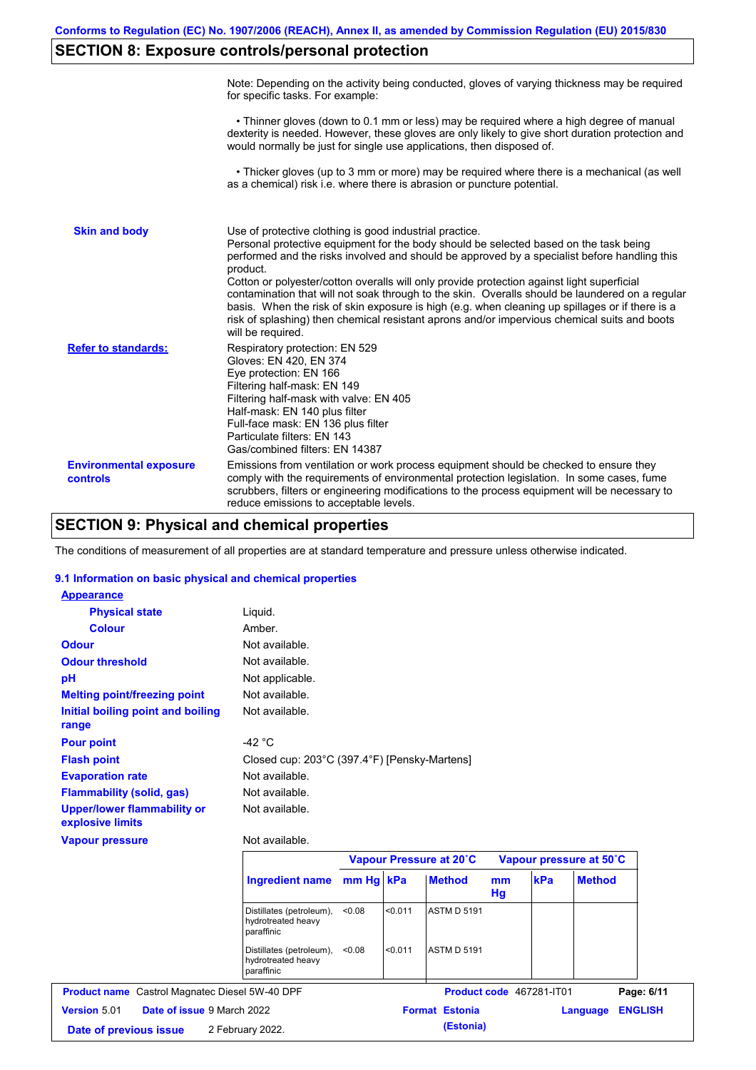## **SECTION 8: Exposure controls/personal protection**

|                                           | Note: Depending on the activity being conducted, gloves of varying thickness may be required<br>for specific tasks. For example:                                                                                                                                                                                                                                                                                                                                                                                                                                                                                                                                                      |
|-------------------------------------------|---------------------------------------------------------------------------------------------------------------------------------------------------------------------------------------------------------------------------------------------------------------------------------------------------------------------------------------------------------------------------------------------------------------------------------------------------------------------------------------------------------------------------------------------------------------------------------------------------------------------------------------------------------------------------------------|
|                                           | • Thinner gloves (down to 0.1 mm or less) may be required where a high degree of manual<br>dexterity is needed. However, these gloves are only likely to give short duration protection and<br>would normally be just for single use applications, then disposed of.                                                                                                                                                                                                                                                                                                                                                                                                                  |
|                                           | • Thicker gloves (up to 3 mm or more) may be required where there is a mechanical (as well<br>as a chemical) risk i.e. where there is abrasion or puncture potential.                                                                                                                                                                                                                                                                                                                                                                                                                                                                                                                 |
| <b>Skin and body</b>                      | Use of protective clothing is good industrial practice.<br>Personal protective equipment for the body should be selected based on the task being<br>performed and the risks involved and should be approved by a specialist before handling this<br>product.<br>Cotton or polyester/cotton overalls will only provide protection against light superficial<br>contamination that will not soak through to the skin. Overalls should be laundered on a regular<br>basis. When the risk of skin exposure is high (e.g. when cleaning up spillages or if there is a<br>risk of splashing) then chemical resistant aprons and/or impervious chemical suits and boots<br>will be required. |
| <b>Refer to standards:</b>                | Respiratory protection: EN 529<br>Gloves: EN 420, EN 374<br>Eye protection: EN 166<br>Filtering half-mask: EN 149<br>Filtering half-mask with valve: EN 405<br>Half-mask: EN 140 plus filter<br>Full-face mask: EN 136 plus filter<br>Particulate filters: EN 143<br>Gas/combined filters: EN 14387                                                                                                                                                                                                                                                                                                                                                                                   |
| <b>Environmental exposure</b><br>controls | Emissions from ventilation or work process equipment should be checked to ensure they<br>comply with the requirements of environmental protection legislation. In some cases, fume<br>scrubbers, filters or engineering modifications to the process equipment will be necessary to<br>reduce emissions to acceptable levels.                                                                                                                                                                                                                                                                                                                                                         |

## **SECTION 9: Physical and chemical properties**

The conditions of measurement of all properties are at standard temperature and pressure unless otherwise indicated.

### **9.1 Information on basic physical and chemical properties**

| Product name Castrol Magnatec Diesel 5W-40 DPF<br>Version 5.01 | Date of issue 9 March 2022                                   |           |         | Product code 467281-IT01<br><b>Format Estonia</b> |          |     | Language                | Page: 6/11<br><b>ENGLISH</b> |
|----------------------------------------------------------------|--------------------------------------------------------------|-----------|---------|---------------------------------------------------|----------|-----|-------------------------|------------------------------|
|                                                                |                                                              |           |         |                                                   |          |     |                         |                              |
|                                                                |                                                              |           |         |                                                   |          |     |                         |                              |
|                                                                | Distillates (petroleum),<br>hydrotreated heavy<br>paraffinic | < 0.08    | < 0.011 | <b>ASTM D 5191</b>                                |          |     |                         |                              |
|                                                                | Distillates (petroleum),<br>hydrotreated heavy<br>paraffinic | < 0.08    | < 0.011 | <b>ASTM D 5191</b>                                |          |     |                         |                              |
|                                                                | <b>Ingredient name</b>                                       | mm Hg kPa |         | <b>Method</b>                                     | mm<br>Hg | kPa | <b>Method</b>           |                              |
|                                                                |                                                              |           |         | Vapour Pressure at 20°C                           |          |     | Vapour pressure at 50°C |                              |
| <b>Vapour pressure</b>                                         | Not available.                                               |           |         |                                                   |          |     |                         |                              |
| <b>Upper/lower flammability or</b><br>explosive limits         | Not available.                                               |           |         |                                                   |          |     |                         |                              |
| <b>Flammability (solid, gas)</b>                               | Not available.                                               |           |         |                                                   |          |     |                         |                              |
| <b>Evaporation rate</b>                                        | Not available.                                               |           |         |                                                   |          |     |                         |                              |
| <b>Flash point</b>                                             | Closed cup: 203°C (397.4°F) [Pensky-Martens]                 |           |         |                                                   |          |     |                         |                              |
| <b>Pour point</b>                                              | $-42 °C$                                                     |           |         |                                                   |          |     |                         |                              |
| Initial boiling point and boiling<br>range                     |                                                              |           |         |                                                   |          |     |                         |                              |
| <b>Melting point/freezing point</b>                            | Not available.                                               |           |         |                                                   |          |     |                         |                              |
| pH                                                             | Not applicable.<br>Not available.                            |           |         |                                                   |          |     |                         |                              |
| <b>Odour threshold</b>                                         | Not available.                                               |           |         |                                                   |          |     |                         |                              |
| <b>Odour</b>                                                   | Not available.                                               |           |         |                                                   |          |     |                         |                              |
| <b>Colour</b>                                                  | Amber.                                                       |           |         |                                                   |          |     |                         |                              |
|                                                                |                                                              |           |         |                                                   |          |     |                         |                              |
| <b>Physical state</b>                                          | Liquid.                                                      |           |         |                                                   |          |     |                         |                              |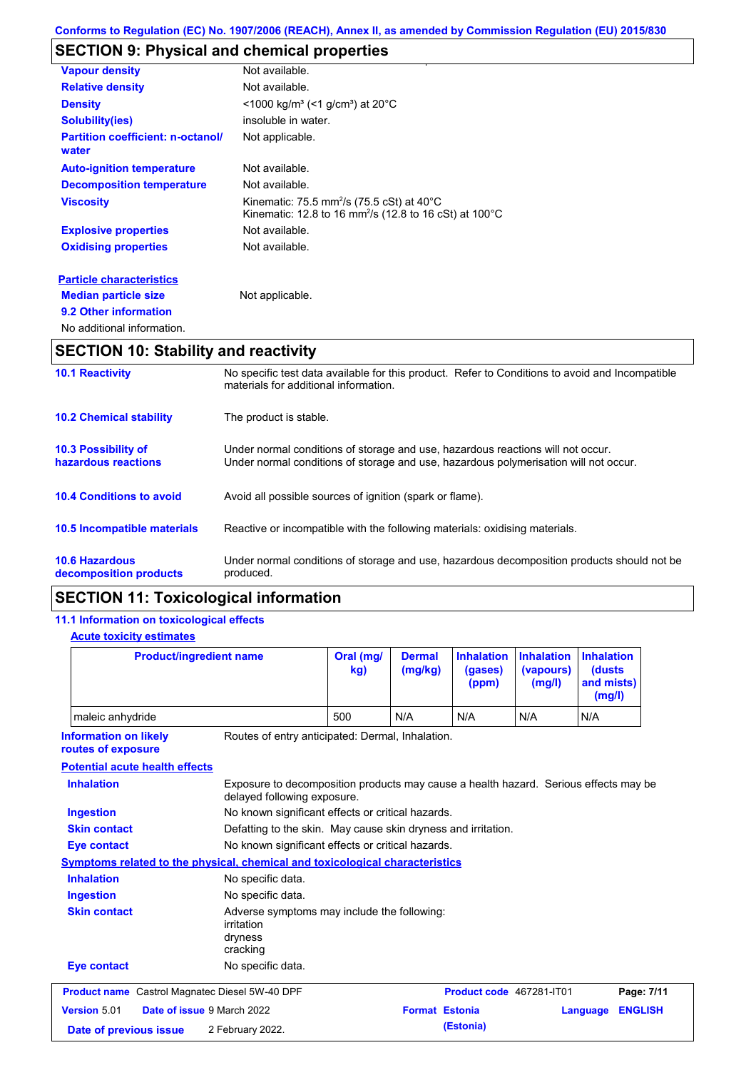## **SECTION 9: Physical and chemical properties**

| <b>Vapour density</b>                             | Not available.                                                                                                              |
|---------------------------------------------------|-----------------------------------------------------------------------------------------------------------------------------|
| <b>Relative density</b>                           | Not available.                                                                                                              |
| <b>Density</b>                                    | $<$ 1000 kg/m <sup>3</sup> (<1 g/cm <sup>3</sup> ) at 20 <sup>°</sup> C                                                     |
| <b>Solubility(ies)</b>                            | insoluble in water.                                                                                                         |
| <b>Partition coefficient: n-octanol/</b><br>water | Not applicable.                                                                                                             |
| <b>Auto-ignition temperature</b>                  | Not available.                                                                                                              |
| <b>Decomposition temperature</b>                  | Not available.                                                                                                              |
| <b>Viscosity</b>                                  | Kinematic: 75.5 mm <sup>2</sup> /s (75.5 cSt) at 40°C<br>Kinematic: 12.8 to 16 mm <sup>2</sup> /s (12.8 to 16 cSt) at 100°C |
| <b>Explosive properties</b>                       | Not available.                                                                                                              |
| <b>Oxidising properties</b>                       | Not available.                                                                                                              |
| <b>Particle characteristics</b>                   |                                                                                                                             |
| <b>Median particle size</b>                       | Not applicable.                                                                                                             |
| 9.2 Other information                             |                                                                                                                             |
| No additional information.                        |                                                                                                                             |

# **SECTION 10: Stability and reactivity**

| <b>10.1 Reactivity</b>                            | No specific test data available for this product. Refer to Conditions to avoid and Incompatible<br>materials for additional information.                                |
|---------------------------------------------------|-------------------------------------------------------------------------------------------------------------------------------------------------------------------------|
| <b>10.2 Chemical stability</b>                    | The product is stable.                                                                                                                                                  |
| <b>10.3 Possibility of</b><br>hazardous reactions | Under normal conditions of storage and use, hazardous reactions will not occur.<br>Under normal conditions of storage and use, hazardous polymerisation will not occur. |
| <b>10.4 Conditions to avoid</b>                   | Avoid all possible sources of ignition (spark or flame).                                                                                                                |
| 10.5 Incompatible materials                       | Reactive or incompatible with the following materials: oxidising materials.                                                                                             |
| <b>10.6 Hazardous</b><br>decomposition products   | Under normal conditions of storage and use, hazardous decomposition products should not be<br>produced.                                                                 |

## **SECTION 11: Toxicological information**

### **11.1 Information on toxicological effects Acute toxicity estimates**

| <b>Product/ingredient name</b>                                               |                                                                                  | Oral (mg/<br>kg) | <b>Dermal</b><br>(mg/kg) | <b>Inhalation</b><br>(gases)<br>(ppm) | <b>Inhalation</b><br>(vapours)<br>(mg/l)                                             | <b>Inhalation</b><br>(dusts)<br>and mists)<br>(mg/l) |
|------------------------------------------------------------------------------|----------------------------------------------------------------------------------|------------------|--------------------------|---------------------------------------|--------------------------------------------------------------------------------------|------------------------------------------------------|
| maleic anhydride                                                             |                                                                                  | 500              | N/A                      | N/A                                   | N/A                                                                                  | N/A                                                  |
| <b>Information on likely</b><br>routes of exposure                           | Routes of entry anticipated: Dermal, Inhalation.                                 |                  |                          |                                       |                                                                                      |                                                      |
| <b>Potential acute health effects</b>                                        |                                                                                  |                  |                          |                                       |                                                                                      |                                                      |
| <b>Inhalation</b>                                                            | delayed following exposure.                                                      |                  |                          |                                       | Exposure to decomposition products may cause a health hazard. Serious effects may be |                                                      |
| <b>Ingestion</b>                                                             | No known significant effects or critical hazards.                                |                  |                          |                                       |                                                                                      |                                                      |
| <b>Skin contact</b>                                                          | Defatting to the skin. May cause skin dryness and irritation.                    |                  |                          |                                       |                                                                                      |                                                      |
| <b>Eye contact</b>                                                           | No known significant effects or critical hazards.                                |                  |                          |                                       |                                                                                      |                                                      |
| Symptoms related to the physical, chemical and toxicological characteristics |                                                                                  |                  |                          |                                       |                                                                                      |                                                      |
| <b>Inhalation</b>                                                            | No specific data.                                                                |                  |                          |                                       |                                                                                      |                                                      |
| <b>Ingestion</b>                                                             | No specific data.                                                                |                  |                          |                                       |                                                                                      |                                                      |
| <b>Skin contact</b>                                                          | Adverse symptoms may include the following:<br>irritation<br>dryness<br>cracking |                  |                          |                                       |                                                                                      |                                                      |
| <b>Eye contact</b>                                                           | No specific data.                                                                |                  |                          |                                       |                                                                                      |                                                      |
| <b>Product name</b> Castrol Magnatec Diesel 5W-40 DPF                        |                                                                                  |                  |                          | Product code 467281-IT01              |                                                                                      | Page: 7/11                                           |
| Version 5.01                                                                 | <b>Date of issue 9 March 2022</b>                                                |                  | <b>Format Estonia</b>    |                                       |                                                                                      | <b>ENGLISH</b><br>Language                           |
|                                                                              |                                                                                  |                  |                          | (Estonia)                             |                                                                                      |                                                      |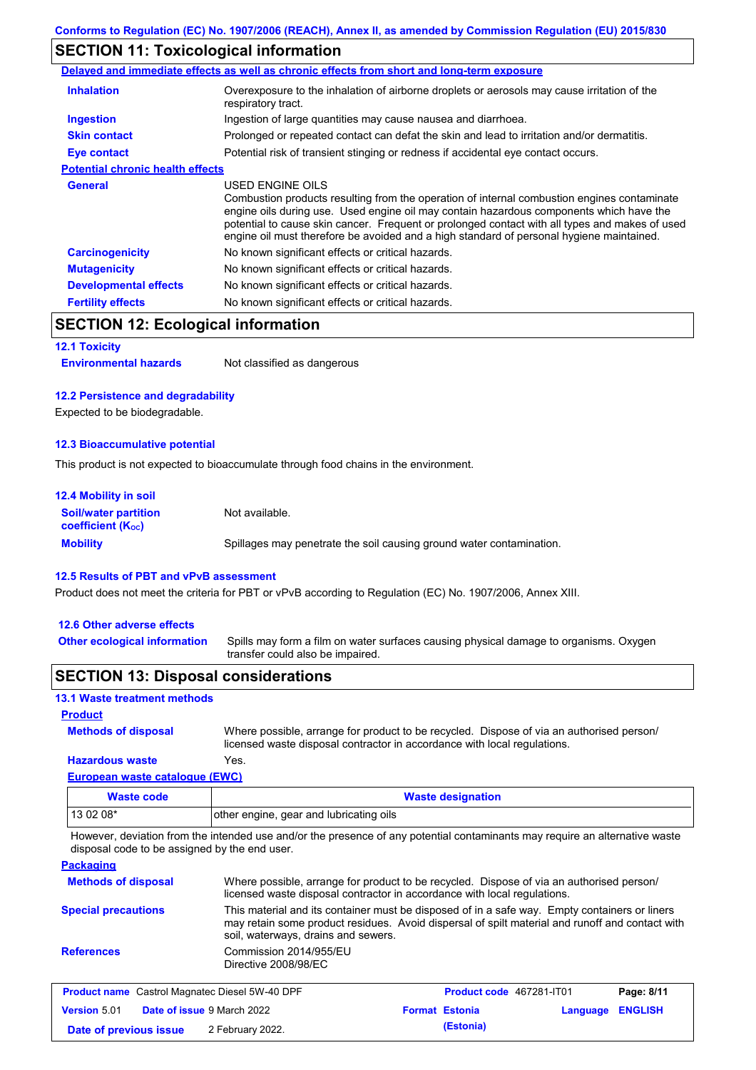## **SECTION 11: Toxicological information**

|                                         | Delayed and immediate effects as well as chronic effects from short and long-term exposure                                                                                                                                                                                                                                                                                                               |
|-----------------------------------------|----------------------------------------------------------------------------------------------------------------------------------------------------------------------------------------------------------------------------------------------------------------------------------------------------------------------------------------------------------------------------------------------------------|
| <b>Inhalation</b>                       | Overexposure to the inhalation of airborne droplets or aerosols may cause irritation of the<br>respiratory tract.                                                                                                                                                                                                                                                                                        |
| <b>Ingestion</b>                        | Ingestion of large quantities may cause nausea and diarrhoea.                                                                                                                                                                                                                                                                                                                                            |
| <b>Skin contact</b>                     | Prolonged or repeated contact can defat the skin and lead to irritation and/or dermatitis.                                                                                                                                                                                                                                                                                                               |
| Eye contact                             | Potential risk of transient stinging or redness if accidental eye contact occurs.                                                                                                                                                                                                                                                                                                                        |
| <b>Potential chronic health effects</b> |                                                                                                                                                                                                                                                                                                                                                                                                          |
| General                                 | USED ENGINE OILS<br>Combustion products resulting from the operation of internal combustion engines contaminate<br>engine oils during use. Used engine oil may contain hazardous components which have the<br>potential to cause skin cancer. Frequent or prolonged contact with all types and makes of used<br>engine oil must therefore be avoided and a high standard of personal hygiene maintained. |
| <b>Carcinogenicity</b>                  | No known significant effects or critical hazards.                                                                                                                                                                                                                                                                                                                                                        |
| <b>Mutagenicity</b>                     | No known significant effects or critical hazards.                                                                                                                                                                                                                                                                                                                                                        |
| <b>Developmental effects</b>            | No known significant effects or critical hazards.                                                                                                                                                                                                                                                                                                                                                        |
| <b>Fertility effects</b>                | No known significant effects or critical hazards.                                                                                                                                                                                                                                                                                                                                                        |

## **SECTION 12: Ecological information**

#### **12.1 Toxicity**

**Environmental hazards** Not classified as dangerous

### **12.2 Persistence and degradability**

Expected to be biodegradable.

#### **12.3 Bioaccumulative potential**

This product is not expected to bioaccumulate through food chains in the environment.

| <b>12.4 Mobility in soil</b>                            |                                                                      |
|---------------------------------------------------------|----------------------------------------------------------------------|
| <b>Soil/water partition</b><br><b>coefficient (Koc)</b> | Not available.                                                       |
| <b>Mobility</b>                                         | Spillages may penetrate the soil causing ground water contamination. |

### **12.5 Results of PBT and vPvB assessment**

Product does not meet the criteria for PBT or vPvB according to Regulation (EC) No. 1907/2006, Annex XIII.

### **12.6 Other adverse effects**

Spills may form a film on water surfaces causing physical damage to organisms. Oxygen transfer could also be impaired. **Other ecological information**

### **SECTION 13: Disposal considerations**

#### **13.1 Waste treatment methods**

### **Product**

**Methods of disposal**

Where possible, arrange for product to be recycled. Dispose of via an authorised person/ licensed waste disposal contractor in accordance with local regulations.

#### **European waste catalogue (EWC) Hazardous waste** Yes.

| $\frac{1}{2}$ and $\frac{1}{2}$ and $\frac{1}{2}$ and $\frac{1}{2}$ and $\frac{1}{2}$ and $\frac{1}{2}$ and $\frac{1}{2}$ and $\frac{1}{2}$ |                                         |
|---------------------------------------------------------------------------------------------------------------------------------------------|-----------------------------------------|
| Waste code                                                                                                                                  | <b>Waste designation</b>                |
| $130208*$                                                                                                                                   | other engine, gear and lubricating oils |

However, deviation from the intended use and/or the presence of any potential contaminants may require an alternative waste disposal code to be assigned by the end user.

**Packaging**

| <b>Methods of disposal</b>                            |                                                | Where possible, arrange for product to be recycled. Dispose of via an authorised person/<br>licensed waste disposal contractor in accordance with local regulations.                             |            |
|-------------------------------------------------------|------------------------------------------------|--------------------------------------------------------------------------------------------------------------------------------------------------------------------------------------------------|------------|
| <b>Special precautions</b>                            | soil, waterways, drains and sewers.            | This material and its container must be disposed of in a safe way. Empty containers or liners<br>may retain some product residues. Avoid dispersal of spilt material and runoff and contact with |            |
| <b>References</b>                                     | Commission 2014/955/EU<br>Directive 2008/98/EC |                                                                                                                                                                                                  |            |
| <b>Product name</b> Castrol Magnatec Diesel 5W-40 DPF |                                                | <b>Product code</b> 467281-IT01                                                                                                                                                                  | Page: 8/11 |

|                        | <b>Trouble Humb</b> Casaci Magnated Dicoci on 40 Dr T |                       |                  | . |
|------------------------|-------------------------------------------------------|-----------------------|------------------|---|
| <b>Version 5.01</b>    | <b>Date of issue 9 March 2022</b>                     | <b>Format Estonia</b> | Language ENGLISH |   |
| Date of previous issue | 2 February 2022.                                      | (Estonia)             |                  |   |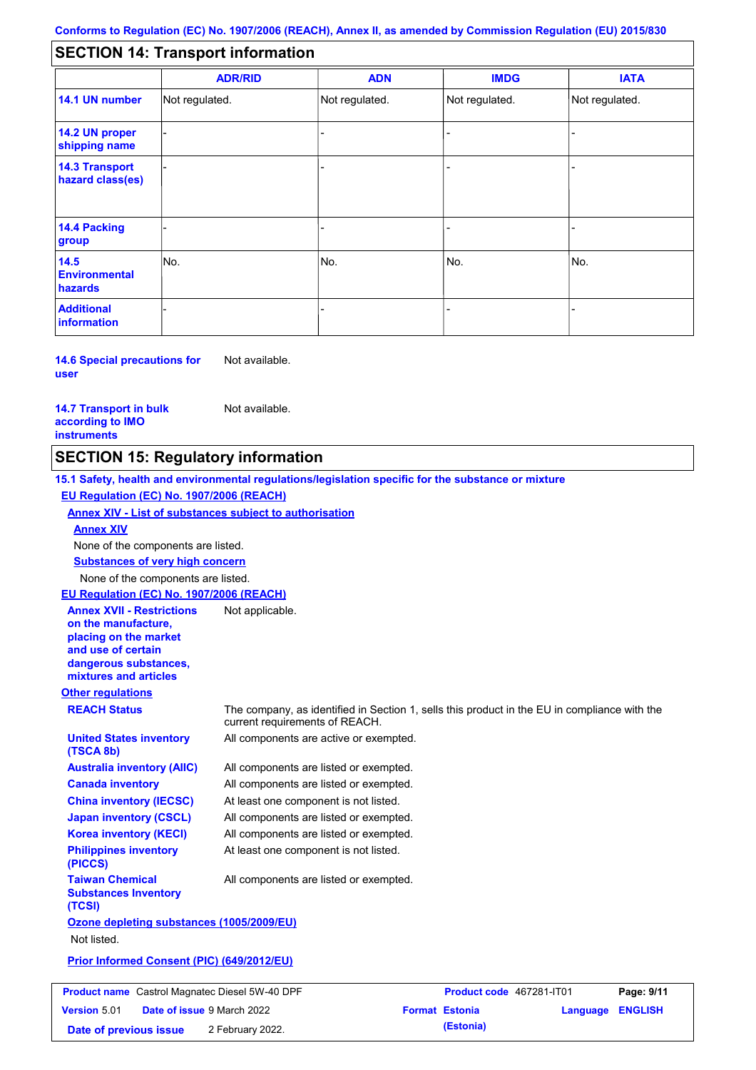#### - - - - - - - - - Not regulated. Not regulated. Not regulated. - - - **SECTION 14: Transport information ADR/RID IMDG IATA 14.1 UN number 14.2 UN proper shipping name 14.3 Transport hazard class(es) 14.4 Packing group ADN Additional information 14.5 Environmental hazards** No. 1980 | No. 1980 | No. 1980 | No. 1980 | No. 1980 | No. 1980 | No. 1980 | No. 1980 | No. 1980 | No. 1980 | Not regulated. - -<br>No. - -

**14.6 Special precautions for user** Not available.

#### **14.7 Transport in bulk according to IMO instruments**

Not available.

## **SECTION 15: Regulatory information**

**Other regulations REACH Status** The company, as identified in Section 1, sells this product in the EU in compliance with the current requirements of REACH. **15.1 Safety, health and environmental regulations/legislation specific for the substance or mixture EU Regulation (EC) No. 1907/2006 (REACH) Annex XIV - List of substances subject to authorisation Substances of very high concern** None of the components are listed. All components are listed or exempted. All components are listed or exempted. At least one component is not listed. All components are listed or exempted. All components are active or exempted. All components are listed or exempted. At least one component is not listed. **United States inventory (TSCA 8b) Australia inventory (AIIC) Canada inventory China inventory (IECSC) Japan inventory (CSCL) Korea inventory (KECI) Philippines inventory (PICCS) Taiwan Chemical Substances Inventory (TCSI)** All components are listed or exempted. **Ozone depleting substances (1005/2009/EU)** Not listed. **Prior Informed Consent (PIC) (649/2012/EU)** None of the components are listed. **Annex XIV EU Regulation (EC) No. 1907/2006 (REACH) Annex XVII - Restrictions on the manufacture, placing on the market and use of certain dangerous substances, mixtures and articles** Not applicable. **Product name** Castrol Magnatec Diesel 5W-40 DPF **Product Code 467281-IT01 Page: 9/11 Version** 5.01

**Date of issue** 9 March 2022 **Format Estonia Language ENGLISH Date of previous issue (Estonia)** 2 February 2022.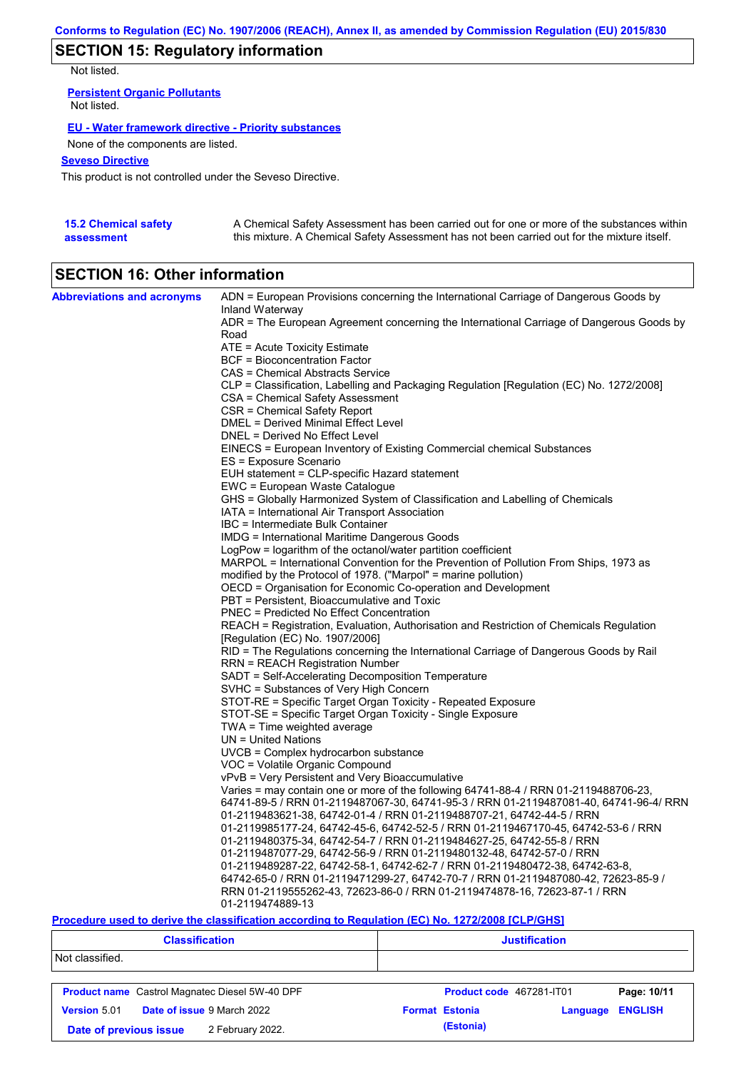## **SECTION 15: Regulatory information**

Not listed.

**Persistent Organic Pollutants** Not listed.

### **EU - Water framework directive - Priority substances**

None of the components are listed.

### **Seveso Directive**

This product is not controlled under the Seveso Directive.

| <b>15.2 Chemical safety</b> | A Chemical Safety Assessment has been carried out for one or more of the substances within  |
|-----------------------------|---------------------------------------------------------------------------------------------|
| assessment                  | this mixture. A Chemical Safety Assessment has not been carried out for the mixture itself. |

## **SECTION 16: Other information**

| <b>Abbreviations and acronyms</b> | ADN = European Provisions concerning the International Carriage of Dangerous Goods by    |
|-----------------------------------|------------------------------------------------------------------------------------------|
|                                   | Inland Waterway                                                                          |
|                                   | ADR = The European Agreement concerning the International Carriage of Dangerous Goods by |
|                                   | Road                                                                                     |
|                                   | ATE = Acute Toxicity Estimate                                                            |
|                                   | BCF = Bioconcentration Factor                                                            |
|                                   | CAS = Chemical Abstracts Service                                                         |
|                                   | CLP = Classification, Labelling and Packaging Regulation [Regulation (EC) No. 1272/2008] |
|                                   | <b>CSA = Chemical Safety Assessment</b>                                                  |
|                                   | CSR = Chemical Safety Report                                                             |
|                                   | <b>DMEL = Derived Minimal Effect Level</b>                                               |
|                                   | DNEL = Derived No Effect Level                                                           |
|                                   | EINECS = European Inventory of Existing Commercial chemical Substances                   |
|                                   | ES = Exposure Scenario                                                                   |
|                                   | EUH statement = CLP-specific Hazard statement                                            |
|                                   | EWC = European Waste Catalogue                                                           |
|                                   | GHS = Globally Harmonized System of Classification and Labelling of Chemicals            |
|                                   | IATA = International Air Transport Association                                           |
|                                   | IBC = Intermediate Bulk Container                                                        |
|                                   | IMDG = International Maritime Dangerous Goods                                            |
|                                   | LogPow = logarithm of the octanol/water partition coefficient                            |
|                                   | MARPOL = International Convention for the Prevention of Pollution From Ships, 1973 as    |
|                                   | modified by the Protocol of 1978. ("Marpol" = marine pollution)                          |
|                                   | OECD = Organisation for Economic Co-operation and Development                            |
|                                   | PBT = Persistent, Bioaccumulative and Toxic                                              |
|                                   | PNEC = Predicted No Effect Concentration                                                 |
|                                   | REACH = Registration, Evaluation, Authorisation and Restriction of Chemicals Regulation  |
|                                   | [Regulation (EC) No. 1907/2006]                                                          |
|                                   | RID = The Regulations concerning the International Carriage of Dangerous Goods by Rail   |
|                                   | RRN = REACH Registration Number                                                          |
|                                   | SADT = Self-Accelerating Decomposition Temperature                                       |
|                                   | SVHC = Substances of Very High Concern                                                   |
|                                   | STOT-RE = Specific Target Organ Toxicity - Repeated Exposure                             |
|                                   | STOT-SE = Specific Target Organ Toxicity - Single Exposure                               |
|                                   | $TWA = Time$ weighted average                                                            |
|                                   | $UN = United Nations$                                                                    |
|                                   | UVCB = Complex hydrocarbon substance                                                     |
|                                   | VOC = Volatile Organic Compound                                                          |
|                                   | vPvB = Very Persistent and Very Bioaccumulative                                          |
|                                   | Varies = may contain one or more of the following 64741-88-4 / RRN 01-2119488706-23,     |
|                                   | 64741-89-5 / RRN 01-2119487067-30, 64741-95-3 / RRN 01-2119487081-40, 64741-96-4/ RRN    |
|                                   | 01-2119483621-38, 64742-01-4 / RRN 01-2119488707-21, 64742-44-5 / RRN                    |
|                                   | 01-2119985177-24, 64742-45-6, 64742-52-5 / RRN 01-2119467170-45, 64742-53-6 / RRN        |
|                                   | 01-2119480375-34, 64742-54-7 / RRN 01-2119484627-25, 64742-55-8 / RRN                    |
|                                   | 01-2119487077-29, 64742-56-9 / RRN 01-2119480132-48, 64742-57-0 / RRN                    |
|                                   | 01-2119489287-22, 64742-58-1, 64742-62-7 / RRN 01-2119480472-38, 64742-63-8,             |
|                                   | 64742-65-0 / RRN 01-2119471299-27, 64742-70-7 / RRN 01-2119487080-42, 72623-85-9 /       |
|                                   | RRN 01-2119555262-43, 72623-86-0 / RRN 01-2119474878-16, 72623-87-1 / RRN                |
|                                   | 01-2119474889-13                                                                         |

### **Procedure used to derive the classification according to Regulation (EC) No. 1272/2008 [CLP/GHS]**

| <b>Classification</b>                                 |                       | <b>Justification</b>     |                |  |
|-------------------------------------------------------|-----------------------|--------------------------|----------------|--|
| Not classified.                                       |                       |                          |                |  |
| <b>Product name</b> Castrol Magnatec Diesel 5W-40 DPF |                       | Product code 467281-IT01 | Page: 10/11    |  |
| <b>Date of issue 9 March 2022</b><br>Version 5.01     | <b>Format Estonia</b> | Language                 | <b>ENGLISH</b> |  |
| 2 February 2022.<br>Date of previous issue            | (Estonia)             |                          |                |  |